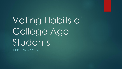Voting Habits of College Age Students

JONATHAN ACEVEDO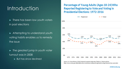## **Introduction**

► There has been low youth voters in past elections

► Attempting to understand youth voting habits enables us to remedy the issue

► The greatest jump in youth voter turnout was in 2008

► But has since declined

#### **Percentage of Young Adults (Ages 18-24) Who Reported Registering to Vote and Voting in Presidential Elections: 1972-2016**



Source: U.S. Census Bureau. (2018). Historical reported voting rates [Table A-1]. Retrieved from https://www.census.gov/data/tables/time-series/demo/voting-and-registration/voting-historical-time-series.html.

childtrends.org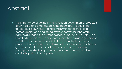## Abstract

► The importance of voting in the American governmental process is often stated and emphasized in the populace. However, past trends have shown that voting is mainly undertaken by older demographics and neglected by younger voters. I therefore hypothesize that in the current political climate, young voters in a liberal arts university will participate more than previous generations yet still less than older voters. With the current highly charged political climate, current pandemic, and access to information, a greater amount of the populace may be more inclined to participate in electoral processes, yet older voters will still likely dominate political participation.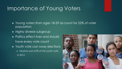## Importance of Young Voters

- ► Young voters from ages 18-29 account for 22% of voter population
- ► Highly diverse subgroup
- ► Politics effect lives and should have every vote count
- ► Youth vote can sway elections
	- ► Obama won 67% of the youth vote in 2012

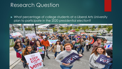## Research Question

► What percentage of college students at a Liberal Arts University plan to participate in the 2020 presidential election?

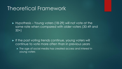## Theoretical Framework

► Hypothesis – Young voters (18-29) will not vote at the same rate when compared with older voters (30-49 and 50+)

- ► If the past voting trends continue, young voters will continue to vote more often than in previous years
	- ► The age of social media has created access and interest in young voters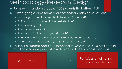### Methodology/Research Design

- ► Surveyed a random group of 100 students that attend PLU
- ► Utilized google drive forms and composed 7 relevant questions
	- ► 1 Have you voted in a presidential election in the past?
	- ► 2 Do you plan on voting in the next election?
	- ► 3 Why or why not?
	- ► 4 What year are you?
	- ► 5 What Political party do you align with?
	- ► 6 How would you rate your political knowledge on a scale 1-10?
	- ► 7 What is your age category? (18-24, 25-29, 30,49, 59+)
- ► To see if a student populace intended to vote in the 2020 presidential election and compare rates with older voters from past elections

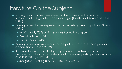# Literature On the Subject

- ► Voting habits have been seen to be influenced by numerous factors such as gender, race and age (Hersh and Ansolabehere 2013)
- ► Young voters have experienced diminishing trust in politics (Shea 2015)
	- ► In 2014 only 28% of Americans trusted in congress
	- ► Executive Branch 43%
	- ► Judicial Branch 61%
- ► Young voters are more apt to the political climate than previous generations (Borah 2019)
- ► Scholars have found that young voters have less political involvement than older voters and therefore participate in voting at a less rate (Burke, 2015)
	- ► 49% (18-29) vs 71% (30-64) and 83% (65+) in 2012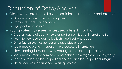# Discussion of Data/Analysis

► Older voters are more likely to participate in the electoral process

- ► Older voters utilize more political power
- ► Controls the political landscape
- ► Highly active in politics

► Young voters have seen increased interest in politics

- ► Greatest cause of apathy towards politics from lack of interest and trust
- ► Youth turnout could dramatically shift political landscape
- ► Other factors such as gender and race play a role
- ► Social media platforms creates more access to information

► Understanding how and why young voters participate less

- ► Social media, mainstream news, and political coverage contribute greatly
- ► Lack of availability, lack of political choices, and lack of political intrigue
- ► Other priorities such as school, work, sports etc.